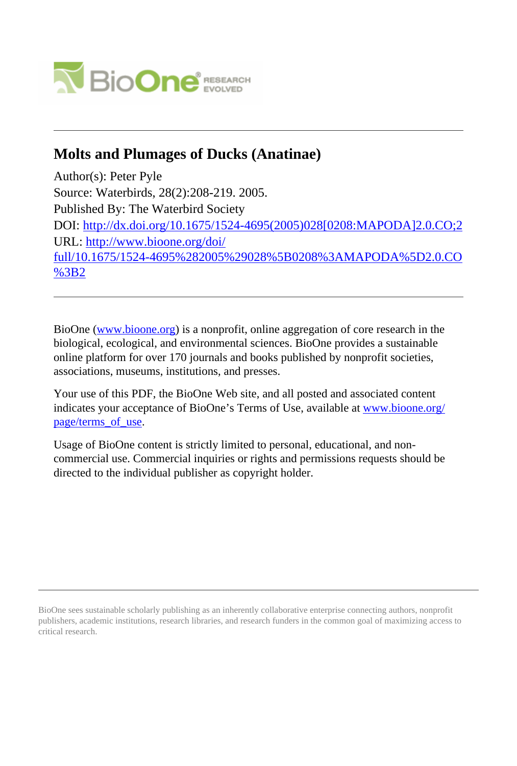

# **Molts and Plumages of Ducks (Anatinae)**

Author(s): Peter Pyle Source: Waterbirds, 28(2):208-219. 2005. Published By: The Waterbird Society DOI: [http://dx.doi.org/10.1675/1524-4695\(2005\)028\[0208:MAPODA\]2.0.CO;2](http://dx.doi.org/10.1675/1524-4695(2005)028[0208:MAPODA]2.0.CO;2) URL: [http://www.bioone.org/doi/](http://www.bioone.org/doi/full/10.1675/1524-4695%282005%29028%5B0208%3AMAPODA%5D2.0.CO%3B2) [full/10.1675/1524-4695%282005%29028%5B0208%3AMAPODA%5D2.0.CO](http://www.bioone.org/doi/full/10.1675/1524-4695%282005%29028%5B0208%3AMAPODA%5D2.0.CO%3B2) [%3B2](http://www.bioone.org/doi/full/10.1675/1524-4695%282005%29028%5B0208%3AMAPODA%5D2.0.CO%3B2)

BioOne [\(www.bioone.org\)](http://www.bioone.org) is a nonprofit, online aggregation of core research in the biological, ecological, and environmental sciences. BioOne provides a sustainable online platform for over 170 journals and books published by nonprofit societies, associations, museums, institutions, and presses.

Your use of this PDF, the BioOne Web site, and all posted and associated content indicates your acceptance of BioOne's Terms of Use, available at [www.bioone.org/](http://www.bioone.org/page/terms_of_use) [page/terms\\_of\\_use](http://www.bioone.org/page/terms_of_use).

Usage of BioOne content is strictly limited to personal, educational, and noncommercial use. Commercial inquiries or rights and permissions requests should be directed to the individual publisher as copyright holder.

BioOne sees sustainable scholarly publishing as an inherently collaborative enterprise connecting authors, nonprofit publishers, academic institutions, research libraries, and research funders in the common goal of maximizing access to critical research.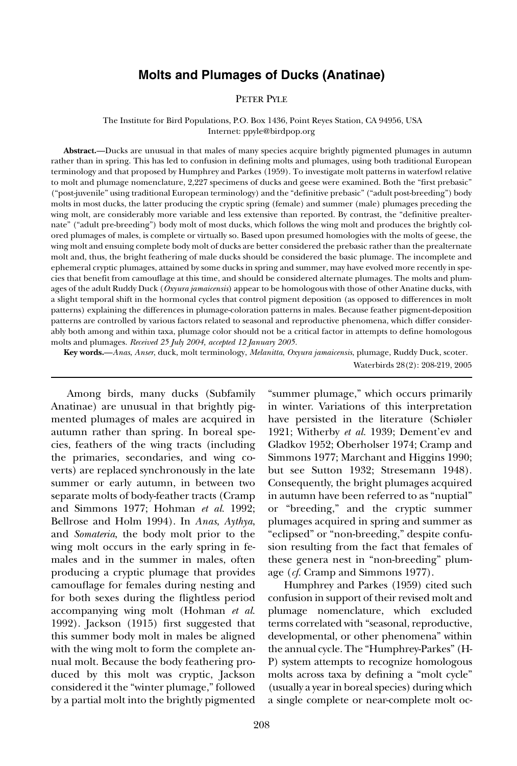## **Molts and Plumages of Ducks (Anatinae)**

#### PETER PYLE

 The Institute for Bird Populations, P.O. Box 1436, Point Reyes Station, CA 94956, USA Internet: ppyle@birdpop.org

**Abstract.**—Ducks are unusual in that males of many species acquire brightly pigmented plumages in autumn rather than in spring. This has led to confusion in defining molts and plumages, using both traditional European terminology and that proposed by Humphrey and Parkes (1959). To investigate molt patterns in waterfowl relative to molt and plumage nomenclature, 2,227 specimens of ducks and geese were examined. Both the "first prebasic" ("post-juvenile" using traditional European terminology) and the "definitive prebasic" ("adult post-breeding") body molts in most ducks, the latter producing the cryptic spring (female) and summer (male) plumages preceding the wing molt, are considerably more variable and less extensive than reported. By contrast, the "definitive prealternate" ("adult pre-breeding") body molt of most ducks, which follows the wing molt and produces the brightly colored plumages of males, is complete or virtually so. Based upon presumed homologies with the molts of geese, the wing molt and ensuing complete body molt of ducks are better considered the prebasic rather than the prealternate molt and, thus, the bright feathering of male ducks should be considered the basic plumage. The incomplete and ephemeral cryptic plumages, attained by some ducks in spring and summer, may have evolved more recently in species that benefit from camouflage at this time, and should be considered alternate plumages. The molts and plumages of the adult Ruddy Duck (*Oxyura jamaicensis*) appear to be homologous with those of other Anatine ducks, with a slight temporal shift in the hormonal cycles that control pigment deposition (as opposed to differences in molt patterns) explaining the differences in plumage-coloration patterns in males. Because feather pigment-deposition patterns are controlled by various factors related to seasonal and reproductive phenomena, which differ considerably both among and within taxa, plumage color should not be a critical factor in attempts to define homologous molts and plumages. *Received 25 July 2004, accepted 12 January 2005.*

**Key words.**—*Anas*, *Anser*, duck, molt terminology, *Melanitta*, *Oxyura jamaicensis*, plumage, Ruddy Duck, scoter. Waterbirds 28(2): 208-219, 2005

Among birds, many ducks (Subfamily Anatinae) are unusual in that brightly pigmented plumages of males are acquired in autumn rather than spring. In boreal species, feathers of the wing tracts (including the primaries, secondaries, and wing coverts) are replaced synchronously in the late summer or early autumn, in between two separate molts of body-feather tracts (Cramp and Simmons 1977; Hohman *et al.* 1992; Bellrose and Holm 1994). In *Anas*, *Aythya*, and *Somateria*, the body molt prior to the wing molt occurs in the early spring in females and in the summer in males, often producing a cryptic plumage that provides camouflage for females during nesting and for both sexes during the flightless period accompanying wing molt (Hohman *et al.* 1992). Jackson (1915) first suggested that this summer body molt in males be aligned with the wing molt to form the complete annual molt. Because the body feathering produced by this molt was cryptic, Jackson considered it the "winter plumage," followed by a partial molt into the brightly pigmented

"summer plumage," which occurs primarily in winter. Variations of this interpretation have persisted in the literature (Schiøler 1921; Witherby *et al.* 1939; Dement'ev and Gladkov 1952; Oberholser 1974; Cramp and Simmons 1977; Marchant and Higgins 1990; but see Sutton 1932; Stresemann 1948). Consequently, the bright plumages acquired in autumn have been referred to as "nuptial" or "breeding," and the cryptic summer plumages acquired in spring and summer as "eclipsed" or "non-breeding," despite confusion resulting from the fact that females of these genera nest in "non-breeding" plumage (*cf.* Cramp and Simmons 1977).

Humphrey and Parkes (1959) cited such confusion in support of their revised molt and plumage nomenclature, which excluded terms correlated with "seasonal, reproductive, developmental, or other phenomena" within the annual cycle. The "Humphrey-Parkes" (H-P) system attempts to recognize homologous molts across taxa by defining a "molt cycle" (usually a year in boreal species) during which a single complete or near-complete molt oc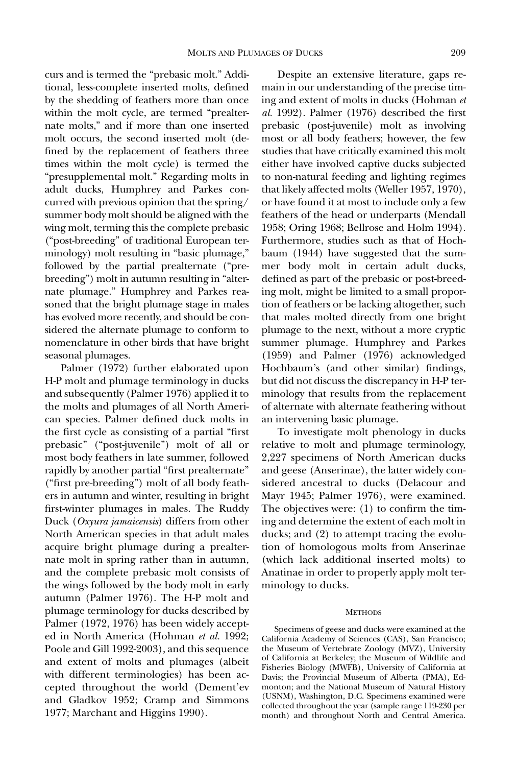curs and is termed the "prebasic molt." Additional, less-complete inserted molts, defined by the shedding of feathers more than once within the molt cycle, are termed "prealternate molts," and if more than one inserted molt occurs, the second inserted molt (defined by the replacement of feathers three times within the molt cycle) is termed the "presupplemental molt." Regarding molts in adult ducks, Humphrey and Parkes concurred with previous opinion that the spring/ summer body molt should be aligned with the wing molt, terming this the complete prebasic ("post-breeding" of traditional European terminology) molt resulting in "basic plumage," followed by the partial prealternate ("prebreeding") molt in autumn resulting in "alternate plumage." Humphrey and Parkes reasoned that the bright plumage stage in males has evolved more recently, and should be considered the alternate plumage to conform to nomenclature in other birds that have bright seasonal plumages.

Palmer (1972) further elaborated upon H-P molt and plumage terminology in ducks and subsequently (Palmer 1976) applied it to the molts and plumages of all North American species. Palmer defined duck molts in the first cycle as consisting of a partial "first prebasic" ("post-juvenile") molt of all or most body feathers in late summer, followed rapidly by another partial "first prealternate" ("first pre-breeding") molt of all body feathers in autumn and winter, resulting in bright first-winter plumages in males. The Ruddy Duck (*Oxyura jamaicensis*) differs from other North American species in that adult males acquire bright plumage during a prealternate molt in spring rather than in autumn, and the complete prebasic molt consists of the wings followed by the body molt in early autumn (Palmer 1976). The H-P molt and plumage terminology for ducks described by Palmer (1972, 1976) has been widely accepted in North America (Hohman *et al.* 1992; Poole and Gill 1992-2003), and this sequence and extent of molts and plumages (albeit with different terminologies) has been accepted throughout the world (Dement'ev and Gladkov 1952; Cramp and Simmons 1977; Marchant and Higgins 1990).

Despite an extensive literature, gaps remain in our understanding of the precise timing and extent of molts in ducks (Hohman *et al.* 1992). Palmer (1976) described the first prebasic (post-juvenile) molt as involving most or all body feathers; however, the few studies that have critically examined this molt either have involved captive ducks subjected to non-natural feeding and lighting regimes that likely affected molts (Weller 1957, 1970), or have found it at most to include only a few feathers of the head or underparts (Mendall 1958; Oring 1968; Bellrose and Holm 1994). Furthermore, studies such as that of Hochbaum (1944) have suggested that the summer body molt in certain adult ducks, defined as part of the prebasic or post-breeding molt, might be limited to a small proportion of feathers or be lacking altogether, such that males molted directly from one bright plumage to the next, without a more cryptic summer plumage. Humphrey and Parkes (1959) and Palmer (1976) acknowledged Hochbaum's (and other similar) findings, but did not discuss the discrepancy in H-P terminology that results from the replacement of alternate with alternate feathering without an intervening basic plumage.

To investigate molt phenology in ducks relative to molt and plumage terminology, 2,227 specimens of North American ducks and geese (Anserinae), the latter widely considered ancestral to ducks (Delacour and Mayr 1945; Palmer 1976), were examined. The objectives were: (1) to confirm the timing and determine the extent of each molt in ducks; and (2) to attempt tracing the evolution of homologous molts from Anserinae (which lack additional inserted molts) to Anatinae in order to properly apply molt terminology to ducks.

#### METHODS

Specimens of geese and ducks were examined at the California Academy of Sciences (CAS), San Francisco; the Museum of Vertebrate Zoology (MVZ), University of California at Berkeley; the Museum of Wildlife and Fisheries Biology (MWFB), University of California at Davis; the Provincial Museum of Alberta (PMA), Edmonton; and the National Museum of Natural History (USNM), Washington, D.C. Specimens examined were collected throughout the year (sample range 119-230 per month) and throughout North and Central America.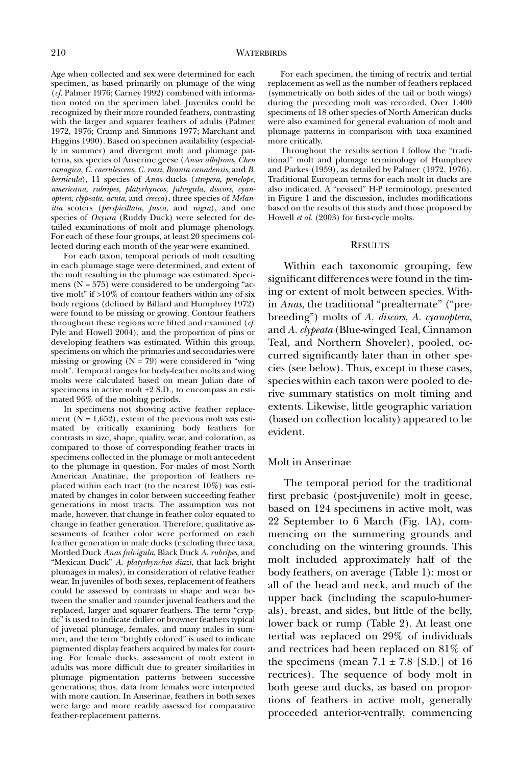Age when collected and sex were determined for each specimen, as based primarily on plumage of the wing (*cf.* Palmer 1976; Carney 1992) combined with information noted on the specimen label. Juveniles could be recognized by their more rounded feathers, contrasting with the larger and squarer feathers of adults (Palmer 1972, 1976; Cramp and Simmons 1977; Marchant and Higgins 1990). Based on specimen availability (especially in summer) and divergent molt and plumage patterns, six species of Anserine geese (*Anser albifrons*, *Chen canagica*, *C. caerulescens*, *C. rossi*, *Branta canadensis*, and *B. bernicula*), 11 species of *Anas* ducks (*strepera*, *penelope*, *americana*, *rubripes*, *platyrhyncos*, *fulvigula*, *discors*, *cyanoptera*, *clypeata*, *acuta*, and *crecca*), three species of *Melanitta* scoters (*perspicillata*, *fusca*, and *nigra*), and one species of *Oxyura* (Ruddy Duck) were selected for detailed examinations of molt and plumage phenology. For each of these four groups, at least 20 specimens collected during each month of the year were examined.

For each taxon, temporal periods of molt resulting in each plumage stage were determined, and extent of the molt resulting in the plumage was estimated. Specimens ( $N = 575$ ) were considered to be undergoing "active molt" if >10% of contour feathers within any of six body regions (defined by Billard and Humphrey 1972) were found to be missing or growing. Contour feathers throughout these regions were lifted and examined (*cf*. Pyle and Howell 2004), and the proportion of pins or developing feathers was estimated. Within this group, specimens on which the primaries and secondaries were missing or growing  $(N = 79)$  were considered in "wing" molt". Temporal ranges for body-feather molts and wing molts were calculated based on mean Julian date of specimens in active molt ±2 S.D., to encompass an estimated 96% of the molting periods.

In specimens not showing active feather replacement ( $\hat{N}$  = 1,652), extent of the previous molt was estimated by critically examining body feathers for contrasts in size, shape, quality, wear, and coloration, as compared to those of corresponding feather tracts in specimens collected in the plumage or molt antecedent to the plumage in question. For males of most North American Anatinae, the proportion of feathers replaced within each tract (to the nearest 10%) was estimated by changes in color between succeeding feather generations in most tracts. The assumption was not made, however, that change in feather color equated to change in feather generation. Therefore, qualitative assessments of feather color were performed on each feather generation in male ducks (excluding three taxa, Mottled Duck *Anas fulvigula*, Black Duck *A. rubripes*, and "Mexican Duck" *A. platyrhynchos diazi*, that lack bright plumages in males), in consideration of relative feather wear. In juveniles of both sexes, replacement of feathers could be assessed by contrasts in shape and wear between the smaller and rounder juvenal feathers and the replaced, larger and squarer feathers. The term "cryptic" is used to indicate duller or browner feathers typical of juvenal plumage, females, and many males in summer, and the term "brightly colored" is used to indicate pigmented display feathers acquired by males for courting. For female ducks, assessment of molt extent in adults was more difficult due to greater similarities in plumage pigmentation patterns between successive generations; thus, data from females were interpreted with more caution. In Anserinae, feathers in both sexes were large and more readily assessed for comparative feather-replacement patterns.

For each specimen, the timing of rectrix and tertial replacement as well as the number of feathers replaced (symmetrically on both sides of the tail or both wings) during the preceding molt was recorded. Over 1,400 specimens of 18 other species of North American ducks were also examined for general evaluation of molt and plumage patterns in comparison with taxa examined more critically.

Throughout the results section I follow the "traditional" molt and plumage terminology of Humphrey and Parkes (1959), as detailed by Palmer (1972, 1976). Traditional European terms for each molt in ducks are also indicated. A "revised" H-P terminology, presented in Figure 1 and the discussion, includes modifications based on the results of this study and those proposed by Howell *et al.* (2003) for first-cycle molts.

#### **RESULTS**

Within each taxonomic grouping, few significant differences were found in the timing or extent of molt between species. Within *Anas*, the traditional "prealternate" ("prebreeding") molts of *A. discors*, *A. cyanoptera*, and *A. clypeata* (Blue-winged Teal, Cinnamon Teal, and Northern Shoveler), pooled, occurred significantly later than in other species (see below). Thus, except in these cases, species within each taxon were pooled to derive summary statistics on molt timing and extents. Likewise, little geographic variation (based on collection locality) appeared to be evident.

#### Molt in Anserinae

The temporal period for the traditional first prebasic (post-juvenile) molt in geese, based on 124 specimens in active molt, was 22 September to 6 March (Fig. 1A), commencing on the summering grounds and concluding on the wintering grounds. This molt included approximately half of the body feathers, on average (Table 1): most or all of the head and neck, and much of the upper back (including the scapulo-humerals), breast, and sides, but little of the belly, lower back or rump (Table 2). At least one tertial was replaced on 29% of individuals and rectrices had been replaced on 81% of the specimens (mean  $7.1 \pm 7.8$  [S.D.] of 16 rectrices). The sequence of body molt in both geese and ducks, as based on proportions of feathers in active molt, generally proceeded anterior-ventrally, commencing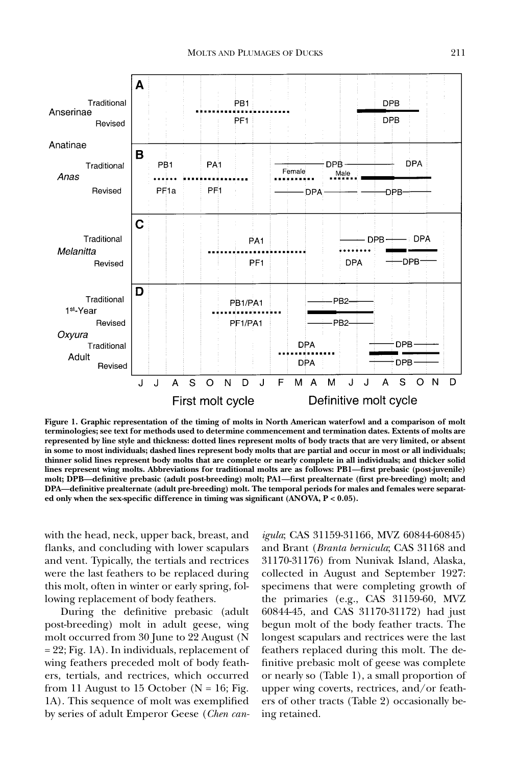

**Figure 1. Graphic representation of the timing of molts in North American waterfowl and a comparison of molt terminologies; see text for methods used to determine commencement and termination dates. Extents of molts are represented by line style and thickness: dotted lines represent molts of body tracts that are very limited, or absent in some to most individuals; dashed lines represent body molts that are partial and occur in most or all individuals; thinner solid lines represent body molts that are complete or nearly complete in all individuals; and thicker solid lines represent wing molts. Abbreviations for traditional molts are as follows: PB1—first prebasic (post-juvenile) molt; DPB—definitive prebasic (adult post-breeding) molt; PA1—first prealternate (first pre-breeding) molt; and DPA—definitive prealternate (adult pre-breeding) molt. The temporal periods for males and females were separated only when the sex-specific difference in timing was significant (ANOVA, P < 0.05).**

with the head, neck, upper back, breast, and flanks, and concluding with lower scapulars and vent. Typically, the tertials and rectrices were the last feathers to be replaced during this molt, often in winter or early spring, following replacement of body feathers.

During the definitive prebasic (adult post-breeding) molt in adult geese, wing molt occurred from 30 June to 22 August (N = 22; Fig. 1A). In individuals, replacement of wing feathers preceded molt of body feathers, tertials, and rectrices, which occurred from 11 August to 15 October ( $N = 16$ ; Fig. 1A). This sequence of molt was exemplified by series of adult Emperor Geese (*Chen can-* *igula*; CAS 31159-31166, MVZ 60844-60845) and Brant (*Branta bernicula*; CAS 31168 and 31170-31176) from Nunivak Island, Alaska, collected in August and September 1927: specimens that were completing growth of the primaries (e.g., CAS 31159-60, MVZ 60844-45, and CAS 31170-31172) had just begun molt of the body feather tracts. The longest scapulars and rectrices were the last feathers replaced during this molt. The definitive prebasic molt of geese was complete or nearly so (Table 1), a small proportion of upper wing coverts, rectrices, and/or feathers of other tracts (Table 2) occasionally being retained.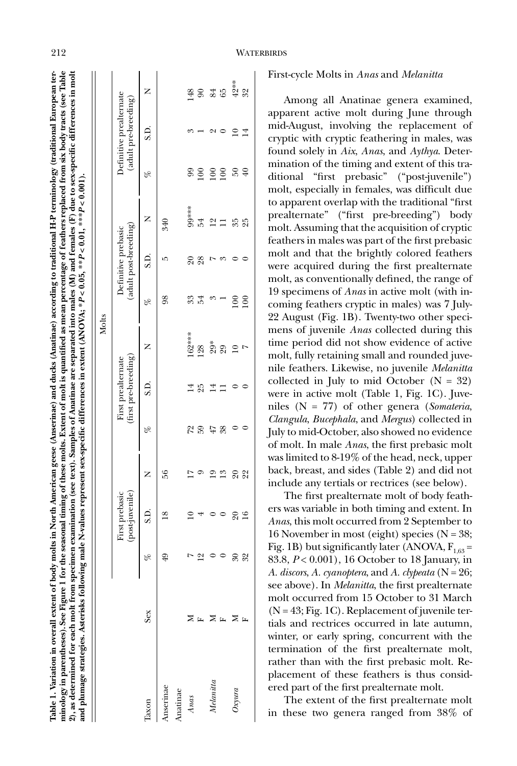| minology in parentheses). See Figure 1 for the sea<br>2), as determined for each molt from an animal<br>plumage<br>and                                                                                                                                                          | strategies. Asterisks following male                                                                                                                                                                                                                        |                                                                                                                                                                    |                                                                                                                                                    |                                                                                                                                                                                                |                                                                                                                                                 |                                                                                                                                              |                                                                                                                                                                                               |                                                                                                                                                       |                                                                                                                                             |                                                                                                                                                                                                    |                                                                                                                                                                                                  |                                                                                                                                       |                                                                                |
|---------------------------------------------------------------------------------------------------------------------------------------------------------------------------------------------------------------------------------------------------------------------------------|-------------------------------------------------------------------------------------------------------------------------------------------------------------------------------------------------------------------------------------------------------------|--------------------------------------------------------------------------------------------------------------------------------------------------------------------|----------------------------------------------------------------------------------------------------------------------------------------------------|------------------------------------------------------------------------------------------------------------------------------------------------------------------------------------------------|-------------------------------------------------------------------------------------------------------------------------------------------------|----------------------------------------------------------------------------------------------------------------------------------------------|-----------------------------------------------------------------------------------------------------------------------------------------------------------------------------------------------|-------------------------------------------------------------------------------------------------------------------------------------------------------|---------------------------------------------------------------------------------------------------------------------------------------------|----------------------------------------------------------------------------------------------------------------------------------------------------------------------------------------------------|--------------------------------------------------------------------------------------------------------------------------------------------------------------------------------------------------|---------------------------------------------------------------------------------------------------------------------------------------|--------------------------------------------------------------------------------|
|                                                                                                                                                                                                                                                                                 |                                                                                                                                                                                                                                                             |                                                                                                                                                                    |                                                                                                                                                    |                                                                                                                                                                                                |                                                                                                                                                 |                                                                                                                                              |                                                                                                                                                                                               | Molts                                                                                                                                                 |                                                                                                                                             |                                                                                                                                                                                                    |                                                                                                                                                                                                  |                                                                                                                                       |                                                                                |
|                                                                                                                                                                                                                                                                                 |                                                                                                                                                                                                                                                             |                                                                                                                                                                    | First prebasic<br>post-juvenile)                                                                                                                   |                                                                                                                                                                                                |                                                                                                                                                 | (first pre-breeding)<br>First prealternate                                                                                                   |                                                                                                                                                                                               |                                                                                                                                                       | (adult post-breeding)<br>Definitive prebasic                                                                                                |                                                                                                                                                                                                    |                                                                                                                                                                                                  | Definitive prealternate<br>(adult pre-breeding)                                                                                       |                                                                                |
| Iaxon                                                                                                                                                                                                                                                                           | Sex                                                                                                                                                                                                                                                         | K                                                                                                                                                                  | S.D.                                                                                                                                               | z                                                                                                                                                                                              | K                                                                                                                                               | S.D.                                                                                                                                         | z                                                                                                                                                                                             | $\%$                                                                                                                                                  | S.D.                                                                                                                                        | z                                                                                                                                                                                                  | $\%$                                                                                                                                                                                             | S.D.                                                                                                                                  | z                                                                              |
| Anserinae<br>Anatinae                                                                                                                                                                                                                                                           |                                                                                                                                                                                                                                                             | $\ddot{ }$                                                                                                                                                         | $18\,$                                                                                                                                             | 56                                                                                                                                                                                             |                                                                                                                                                 |                                                                                                                                              |                                                                                                                                                                                               | $98$                                                                                                                                                  | F.                                                                                                                                          | 340                                                                                                                                                                                                |                                                                                                                                                                                                  |                                                                                                                                       |                                                                                |
| Ans                                                                                                                                                                                                                                                                             |                                                                                                                                                                                                                                                             |                                                                                                                                                                    | $\overline{4}$                                                                                                                                     |                                                                                                                                                                                                |                                                                                                                                                 |                                                                                                                                              |                                                                                                                                                                                               |                                                                                                                                                       |                                                                                                                                             |                                                                                                                                                                                                    |                                                                                                                                                                                                  |                                                                                                                                       |                                                                                |
| Melanita                                                                                                                                                                                                                                                                        | <b>NK NK</b> NK                                                                                                                                                                                                                                             |                                                                                                                                                                    | $\circ$ $\circ$                                                                                                                                    |                                                                                                                                                                                                | 72.58                                                                                                                                           | $25 - 11$                                                                                                                                    |                                                                                                                                                                                               | 32 3 4<br>34 3 4                                                                                                                                      | 2877000                                                                                                                                     |                                                                                                                                                                                                    |                                                                                                                                                                                                  | $\omega - \omega$                                                                                                                     | $\begin{array}{c} 48 \\ 90 \\ 84 \\ \end{array}$                               |
| Oxyura                                                                                                                                                                                                                                                                          |                                                                                                                                                                                                                                                             |                                                                                                                                                                    | $\frac{20}{16}$                                                                                                                                    | $\mathbb{L}^{\circ}$ ລຶມ ລຶມ                                                                                                                                                                   | $\circ$                                                                                                                                         | $\circ$                                                                                                                                      | $\frac{162***}{128}$<br>128<br>128<br>2020 21                                                                                                                                                 | $\frac{100}{100}$                                                                                                                                     |                                                                                                                                             | 35<br>25                                                                                                                                                                                           |                                                                                                                                                                                                  | $\supseteq$                                                                                                                           | $42***$<br>32                                                                  |
| termination of the first prealternate molt,<br>rather than with the first prebasic molt. Re-<br>placement of these feathers is thus consid-<br>ered part of the first prealternate molt.<br>The extent of the first prealternate molt<br>in these two genera ranged from 38% of | see above). In <i>Melanitta</i> , the first prealternate<br>molt occurred from 15 October to 31 March<br>$(N = 43; Fig. 1C)$ . Replacement of juvenile ter-<br>tials and rectrices occurred in late autumn,<br>winter, or early spring, concurrent with the | Fig. 1B) but significantly later (ANOVA, $F_{1,63}$ =<br>83.8, P < 0.001), 16 October to 18 January, in<br>A. discors, A. cyanoptera, and A. clypeata ( $N = 26$ ; | ers was variable in both timing and extent. In<br>Anas, this molt occurred from 2 September to<br>16 November in most (eight) species ( $N = 38$ ; | was limited to 8-19% of the head, neck, upper<br>back, breast, and sides (Table 2) and did not<br>include any tertials or rectrices (see below).<br>The first prealternate molt of body feath- | Clangula, Bucephala, and Mergus) collected in<br>July to mid-October, also showed no evidence<br>of molt. In male Anas, the first prebasic molt | collected in July to mid October ( $N = 32$ )<br>were in active molt (Table 1, Fig. 1C). Juve-<br>niles (N = 77) of other genera (Somateria, | mens of juvenile Anas collected during this<br>time period did not show evidence of active<br>molt, fully retaining small and rounded juve-<br>nile feathers. Likewise, no juvenile Melanitta | 19 specimens of <i>Anas</i> in active molt (with in-<br>coming feathers cryptic in males) was 7 July-<br>22 August (Fig. 1B). Twenty-two other speci- | molt and that the brightly colored feathers<br>were acquired during the first prealternate<br>molt, as conventionally defined, the range of | to apparent overlap with the traditional "first<br>prealternate" ("first pre-breeding") body<br>molt. Assuming that the acquisition of cryptic<br>feathers in males was part of the first prebasic | found solely in Aix, Anas, and Aythya. Deter-<br>mination of the timing and extent of this tra-<br>ditional "first prebasic" ("post-juvenile")<br>molt, especially in females, was difficult due | apparent active molt during June through<br>mid-August, involving the replacement of<br>cryptic with cryptic feathering in males, was | First-cycle Molts in Anas and Melanitta<br>Among all Anatinae genera examined, |

#### 212 WATERBIRDS

### First-cycle Molts in *Anas* and *Melanitta*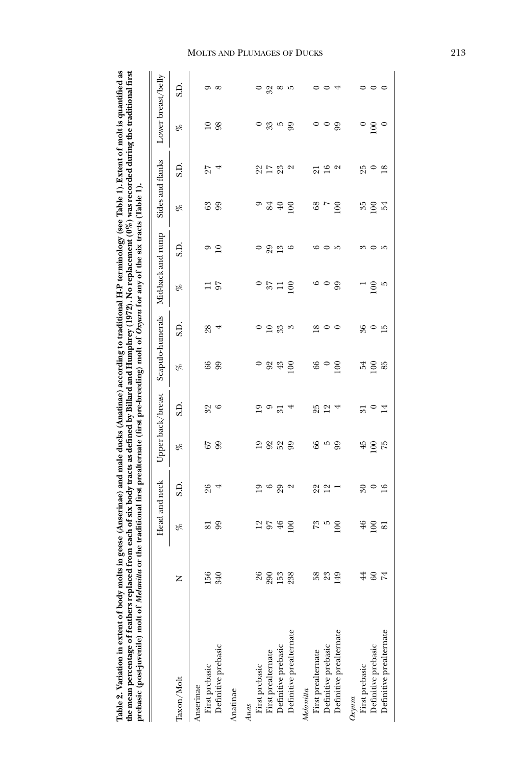Table 2. Variation in extent of body molts in geese (Anserinae) and male ducks (Anatinae) according to traditional H-P terminology (see Table 1). Extent of molt is quantified as<br>the mean percentage of feathers replaced fro **Table 2. Variation in extent of body molts in geese (Anserinae) and male ducks (Anatinae) according to traditional H-P terminology (see Table 1). Extent of molt is quantified as the mean percentage of feathers replaced from each of six body tracts as defined by Billard and Humphrey (1972). No replacement (0%) was recorded during the traditional first**

| prebasic (post-juvenile) molt of Melanitta or the |               |                 |                 |               | traditional first prealternate (first pre-breeding) molt of Oxyura for any of the six tracts (Table 1). |                  |                 |                   |                |                             |                         |                    |                          |
|---------------------------------------------------|---------------|-----------------|-----------------|---------------|---------------------------------------------------------------------------------------------------------|------------------|-----------------|-------------------|----------------|-----------------------------|-------------------------|--------------------|--------------------------|
|                                                   |               |                 | Head and neck   |               | Upper back/breast                                                                                       | Scapulo-humerals |                 | Mid-back and rump |                | Sides and flanks            |                         | Lower breast/belly |                          |
| Taxon/Molt                                        | z             | olo             | S.D.            | P6            | S.D.                                                                                                    | P6               | S.D.            | B,                | S.D.           | olo                         | S.D.                    | B,                 | S.D.                     |
| First prebasic<br>Anserinae                       | 156           | 55              | 26              | 55            |                                                                                                         |                  | 28              | ⊟                 | ග              | 63                          | 27                      | $\overline{10}$    |                          |
| Definitive prebasic                               | 340           | 99              | 4               | 99            | 32<br>6                                                                                                 | 66<br>99         | 4               | 57                | $\approx$      | 99                          | 4                       | 98                 | ာ ထ                      |
| Anatinae                                          |               |                 |                 |               |                                                                                                         |                  |                 |                   |                |                             |                         |                    |                          |
| Anas                                              |               |                 |                 |               |                                                                                                         |                  |                 |                   |                |                             |                         |                    |                          |
| First prebasic                                    | 26            | $\overline{12}$ | $\overline{19}$ | $^{9}$        | $\overline{19}$                                                                                         | $\circ$          |                 | $\circ$           | $\circ$        | ా                           | 22                      | $\circ$            | $\circ$                  |
| First prealternate                                | 290           | 67              | $\circ$         | 92            | $\circ$                                                                                                 | 9243             | $\supseteq$     | 57                | 29             | 84                          | $\overline{17}$         | 33                 | $\frac{32}{8}$           |
| Definitive prebasic                               | 153           | 46              | 29              | 52            | $\overline{31}$                                                                                         |                  | 33              | Ξ                 | 13             | $\,40$                      | 23                      | F)                 |                          |
| Definitive prealternate                           | 238           | $\infty$        | $\sim$          | 99            | 4                                                                                                       | $\infty$         | S               | $\epsilon$        | $\circ$        | $\infty$                    | $\sim$                  | 99                 | r.                       |
| Melanita                                          |               |                 |                 |               |                                                                                                         |                  |                 |                   |                |                             |                         |                    |                          |
| First prealternate                                | 58            | 73              | 22              | 66            | 25                                                                                                      | 66               | $^{18}$         | అ                 | ی              | $8^{\circ}$                 | $\overline{\mathbf{z}}$ | 0                  | $\circ$                  |
| Definitive prebasic                               | 23            | F.              | 12              | IJ            | 12                                                                                                      | $\circ$          | $\circ$         | $\circ$           | $\circ$        | $\mathcal{L}_{\mathcal{L}}$ | $\overline{16}$         | $\circ$            | $\circ$                  |
| Definitive prealternate                           | 149           | $\infty$        |                 | 99            | ₩                                                                                                       | $\infty$         | $\circ$         | 99                | $\mathfrak{D}$ | 8                           | $\sim$                  | 99                 | $\overline{\phantom{a}}$ |
| Oxyura                                            |               |                 |                 |               |                                                                                                         |                  |                 |                   |                |                             |                         |                    |                          |
| First prebasic                                    | 44            | 46              | Z               | 45            | ವ                                                                                                       | 24               | 36              |                   |                | 35                          | 25                      | っ                  |                          |
| Definitive prebasic                               | 60            | $\infty$        | $\frac{0}{16}$  | $\infty$      | $\circ$                                                                                                 | $^{100}$         | $\frac{15}{15}$ | $\infty$          | ၈ ၀ ဟ          | $\epsilon$                  | $\circ$                 | $\infty$           | $\circ\circ\circ$        |
| Definitive prealternate                           | $\mathcal{L}$ | $\overline{8}$  |                 | $\frac{5}{2}$ | $\overline{14}$                                                                                         | 85               |                 | F)                |                | $\mathbb{Z}$                | $\frac{8}{18}$          | $\circ$            |                          |

## MOLTS AND PLUMAGES OF DUCKS 213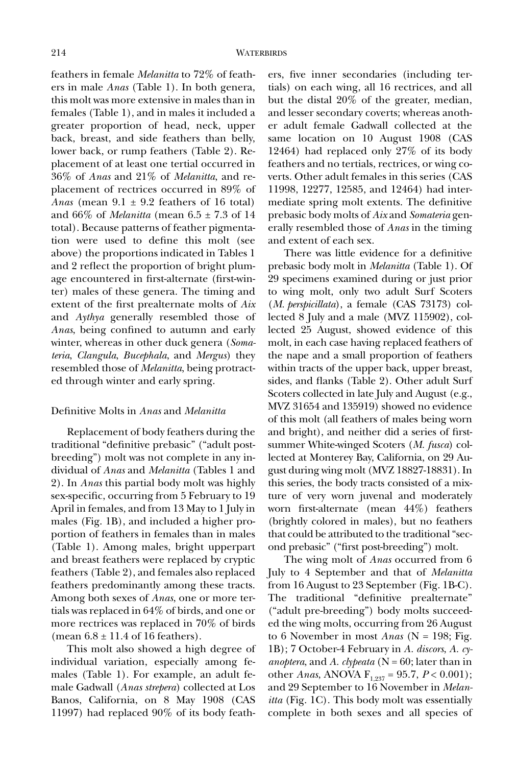feathers in female *Melanitta* to 72% of feathers in male *Anas* (Table 1). In both genera, this molt was more extensive in males than in females (Table 1), and in males it included a greater proportion of head, neck, upper back, breast, and side feathers than belly, lower back, or rump feathers (Table 2). Replacement of at least one tertial occurred in 36% of *Anas* and 21% of *Melanitta*, and replacement of rectrices occurred in 89% of *Anas* (mean  $9.1 \pm 9.2$  feathers of 16 total) and 66% of *Melanitta* (mean 6.5 ± 7.3 of 14 total). Because patterns of feather pigmentation were used to define this molt (see above) the proportions indicated in Tables 1 and 2 reflect the proportion of bright plumage encountered in first-alternate (first-winter) males of these genera. The timing and extent of the first prealternate molts of *Aix* and *Aythya* generally resembled those of *Anas*, being confined to autumn and early winter, whereas in other duck genera (*Somateria*, *Clangula*, *Bucephala*, and *Mergus*) they resembled those of *Melanitta*, being protracted through winter and early spring.

#### Definitive Molts in *Anas* and *Melanitta*

Replacement of body feathers during the traditional "definitive prebasic" ("adult postbreeding") molt was not complete in any individual of *Anas* and *Melanitta* (Tables 1 and 2). In *Anas* this partial body molt was highly sex-specific, occurring from 5 February to 19 April in females, and from 13 May to 1 July in males (Fig. 1B), and included a higher proportion of feathers in females than in males (Table 1). Among males, bright upperpart and breast feathers were replaced by cryptic feathers (Table 2), and females also replaced feathers predominantly among these tracts. Among both sexes of *Anas*, one or more tertials was replaced in 64% of birds, and one or more rectrices was replaced in 70% of birds (mean  $6.8 \pm 11.4$  of 16 feathers).

This molt also showed a high degree of individual variation, especially among females (Table 1). For example, an adult female Gadwall (*Anas strepera*) collected at Los Banos, California, on 8 May 1908 (CAS 11997) had replaced 90% of its body feathers, five inner secondaries (including tertials) on each wing, all 16 rectrices, and all but the distal 20% of the greater, median, and lesser secondary coverts; whereas another adult female Gadwall collected at the same location on 10 August 1908 (CAS 12464) had replaced only 27% of its body feathers and no tertials, rectrices, or wing coverts. Other adult females in this series (CAS 11998, 12277, 12585, and 12464) had intermediate spring molt extents. The definitive prebasic body molts of *Aix* and *Somateria* generally resembled those of *Anas* in the timing and extent of each sex.

There was little evidence for a definitive prebasic body molt in *Melanitta* (Table 1). Of 29 specimens examined during or just prior to wing molt, only two adult Surf Scoters (*M. perspicillata*), a female (CAS 73173) collected 8 July and a male (MVZ 115902), collected 25 August, showed evidence of this molt, in each case having replaced feathers of the nape and a small proportion of feathers within tracts of the upper back, upper breast, sides, and flanks (Table 2). Other adult Surf Scoters collected in late July and August (e.g., MVZ 31654 and 135919) showed no evidence of this molt (all feathers of males being worn and bright), and neither did a series of firstsummer White-winged Scoters (*M. fusca*) collected at Monterey Bay, California, on 29 August during wing molt (MVZ 18827-18831). In this series, the body tracts consisted of a mixture of very worn juvenal and moderately worn first-alternate (mean 44%) feathers (brightly colored in males), but no feathers that could be attributed to the traditional "second prebasic" ("first post-breeding") molt.

The wing molt of *Anas* occurred from 6 July to 4 September and that of *Melanitta* from 16 August to 23 September (Fig. 1B-C). The traditional "definitive prealternate" ("adult pre-breeding") body molts succeeded the wing molts, occurring from 26 August to 6 November in most *Anas* (N = 198; Fig. 1B); 7 October-4 February in *A. discors*, *A. cyanoptera*, and *A. clypeata* (N = 60; later than in other *Anas*, ANOVA  $F_{1.237} = 95.7$ ,  $P < 0.001$ ); and 29 September to 16 November in *Melanitta* (Fig. 1C). This body molt was essentially complete in both sexes and all species of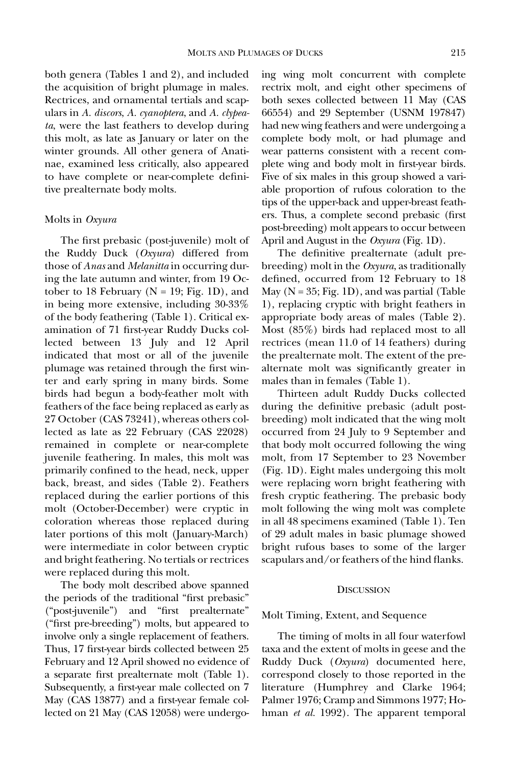both genera (Tables 1 and 2), and included the acquisition of bright plumage in males. Rectrices, and ornamental tertials and scapulars in *A. discors*, *A. cyanoptera*, and *A. clypeata*, were the last feathers to develop during this molt, as late as January or later on the winter grounds. All other genera of Anatinae, examined less critically, also appeared to have complete or near-complete definitive prealternate body molts.

#### Molts in *Oxyura*

The first prebasic (post-juvenile) molt of the Ruddy Duck (*Oxyura*) differed from those of *Anas* and *Melanitta* in occurring during the late autumn and winter, from 19 October to 18 February ( $N = 19$ ; Fig. 1D), and in being more extensive, including 30-33% of the body feathering (Table 1). Critical examination of 71 first-year Ruddy Ducks collected between 13 July and 12 April indicated that most or all of the juvenile plumage was retained through the first winter and early spring in many birds. Some birds had begun a body-feather molt with feathers of the face being replaced as early as 27 October (CAS 73241), whereas others collected as late as 22 February (CAS 22028) remained in complete or near-complete juvenile feathering. In males, this molt was primarily confined to the head, neck, upper back, breast, and sides (Table 2). Feathers replaced during the earlier portions of this molt (October-December) were cryptic in coloration whereas those replaced during later portions of this molt (January-March) were intermediate in color between cryptic and bright feathering. No tertials or rectrices were replaced during this molt.

The body molt described above spanned the periods of the traditional "first prebasic" ("post-juvenile") and "first prealternate" ("first pre-breeding") molts, but appeared to involve only a single replacement of feathers. Thus, 17 first-year birds collected between 25 February and 12 April showed no evidence of a separate first prealternate molt (Table 1). Subsequently, a first-year male collected on 7 May (CAS 13877) and a first-year female collected on 21 May (CAS 12058) were undergoing wing molt concurrent with complete rectrix molt, and eight other specimens of both sexes collected between 11 May (CAS 66554) and 29 September (USNM 197847) had new wing feathers and were undergoing a complete body molt, or had plumage and wear patterns consistent with a recent complete wing and body molt in first-year birds. Five of six males in this group showed a variable proportion of rufous coloration to the tips of the upper-back and upper-breast feathers. Thus, a complete second prebasic (first post-breeding) molt appears to occur between April and August in the *Oxyura* (Fig. 1D).

The definitive prealternate (adult prebreeding) molt in the *Oxyura*, as traditionally defined, occurred from 12 February to 18 May  $(N = 35; Fig. 1D)$ , and was partial (Table 1), replacing cryptic with bright feathers in appropriate body areas of males (Table 2). Most (85%) birds had replaced most to all rectrices (mean 11.0 of 14 feathers) during the prealternate molt. The extent of the prealternate molt was significantly greater in males than in females (Table 1).

Thirteen adult Ruddy Ducks collected during the definitive prebasic (adult postbreeding) molt indicated that the wing molt occurred from 24 July to 9 September and that body molt occurred following the wing molt, from 17 September to 23 November (Fig. 1D). Eight males undergoing this molt were replacing worn bright feathering with fresh cryptic feathering. The prebasic body molt following the wing molt was complete in all 48 specimens examined (Table 1). Ten of 29 adult males in basic plumage showed bright rufous bases to some of the larger scapulars and/or feathers of the hind flanks.

#### **DISCUSSION**

## Molt Timing, Extent, and Sequence

The timing of molts in all four waterfowl taxa and the extent of molts in geese and the Ruddy Duck (*Oxyura*) documented here, correspond closely to those reported in the literature (Humphrey and Clarke 1964; Palmer 1976; Cramp and Simmons 1977; Hohman *et al.* 1992). The apparent temporal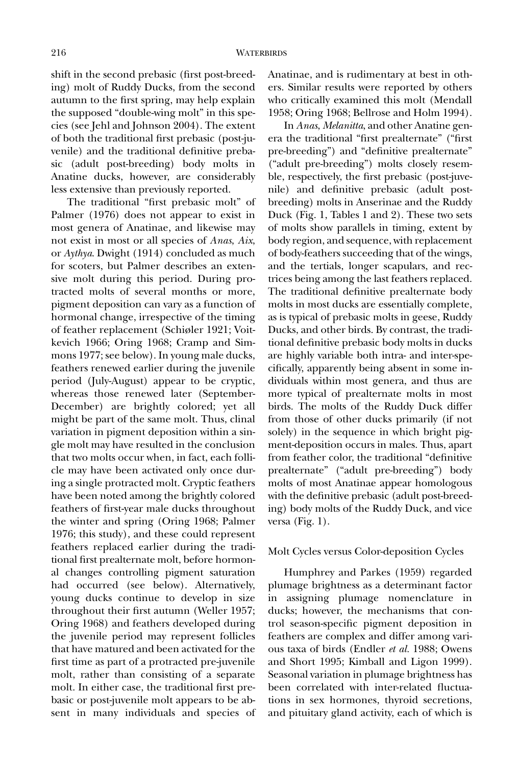shift in the second prebasic (first post-breeding) molt of Ruddy Ducks, from the second autumn to the first spring, may help explain the supposed "double-wing molt" in this species (see Jehl and Johnson 2004). The extent of both the traditional first prebasic (post-juvenile) and the traditional definitive prebasic (adult post-breeding) body molts in Anatine ducks, however, are considerably less extensive than previously reported.

The traditional "first prebasic molt" of Palmer (1976) does not appear to exist in most genera of Anatinae, and likewise may not exist in most or all species of *Anas*, *Aix*, or *Aythya*. Dwight (1914) concluded as much for scoters, but Palmer describes an extensive molt during this period. During protracted molts of several months or more, pigment deposition can vary as a function of hormonal change, irrespective of the timing of feather replacement (Schiøler 1921; Voitkevich 1966; Oring 1968; Cramp and Simmons 1977; see below). In young male ducks, feathers renewed earlier during the juvenile period (July-August) appear to be cryptic, whereas those renewed later (September-December) are brightly colored; yet all might be part of the same molt. Thus, clinal variation in pigment deposition within a single molt may have resulted in the conclusion that two molts occur when, in fact, each follicle may have been activated only once during a single protracted molt. Cryptic feathers have been noted among the brightly colored feathers of first-year male ducks throughout the winter and spring (Oring 1968; Palmer 1976; this study), and these could represent feathers replaced earlier during the traditional first prealternate molt, before hormonal changes controlling pigment saturation had occurred (see below). Alternatively, young ducks continue to develop in size throughout their first autumn (Weller 1957; Oring 1968) and feathers developed during the juvenile period may represent follicles that have matured and been activated for the first time as part of a protracted pre-juvenile molt, rather than consisting of a separate molt. In either case, the traditional first prebasic or post-juvenile molt appears to be absent in many individuals and species of Anatinae, and is rudimentary at best in others. Similar results were reported by others who critically examined this molt (Mendall 1958; Oring 1968; Bellrose and Holm 1994).

In *Anas*, *Melanitta*, and other Anatine genera the traditional "first prealternate" ("first pre-breeding") and "definitive prealternate" ("adult pre-breeding") molts closely resemble, respectively, the first prebasic (post-juvenile) and definitive prebasic (adult postbreeding) molts in Anserinae and the Ruddy Duck (Fig. 1, Tables 1 and 2). These two sets of molts show parallels in timing, extent by body region, and sequence, with replacement of body-feathers succeeding that of the wings, and the tertials, longer scapulars, and rectrices being among the last feathers replaced. The traditional definitive prealternate body molts in most ducks are essentially complete, as is typical of prebasic molts in geese, Ruddy Ducks, and other birds. By contrast, the traditional definitive prebasic body molts in ducks are highly variable both intra- and inter-specifically, apparently being absent in some individuals within most genera, and thus are more typical of prealternate molts in most birds. The molts of the Ruddy Duck differ from those of other ducks primarily (if not solely) in the sequence in which bright pigment-deposition occurs in males. Thus, apart from feather color, the traditional "definitive prealternate" ("adult pre-breeding") body molts of most Anatinae appear homologous with the definitive prebasic (adult post-breeding) body molts of the Ruddy Duck, and vice versa (Fig. 1).

### Molt Cycles versus Color-deposition Cycles

Humphrey and Parkes (1959) regarded plumage brightness as a determinant factor in assigning plumage nomenclature in ducks; however, the mechanisms that control season-specific pigment deposition in feathers are complex and differ among various taxa of birds (Endler *et al.* 1988; Owens and Short 1995; Kimball and Ligon 1999). Seasonal variation in plumage brightness has been correlated with inter-related fluctuations in sex hormones, thyroid secretions, and pituitary gland activity, each of which is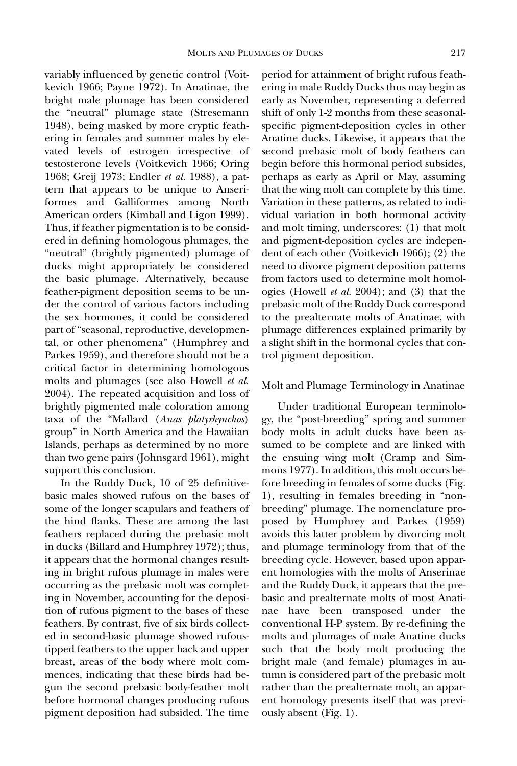variably influenced by genetic control (Voitkevich 1966; Payne 1972). In Anatinae, the bright male plumage has been considered the "neutral" plumage state (Stresemann 1948), being masked by more cryptic feathering in females and summer males by elevated levels of estrogen irrespective of testosterone levels (Voitkevich 1966; Oring 1968; Greij 1973; Endler *et al.* 1988), a pattern that appears to be unique to Anseriformes and Galliformes among North American orders (Kimball and Ligon 1999). Thus, if feather pigmentation is to be considered in defining homologous plumages, the "neutral" (brightly pigmented) plumage of ducks might appropriately be considered the basic plumage. Alternatively, because feather-pigment deposition seems to be under the control of various factors including the sex hormones, it could be considered part of "seasonal, reproductive, developmental, or other phenomena" (Humphrey and Parkes 1959), and therefore should not be a critical factor in determining homologous molts and plumages (see also Howell *et al.* 2004). The repeated acquisition and loss of brightly pigmented male coloration among taxa of the "Mallard (*Anas platyrhynchos*) group" in North America and the Hawaiian Islands, perhaps as determined by no more than two gene pairs (Johnsgard 1961), might support this conclusion.

In the Ruddy Duck, 10 of 25 definitivebasic males showed rufous on the bases of some of the longer scapulars and feathers of the hind flanks. These are among the last feathers replaced during the prebasic molt in ducks (Billard and Humphrey 1972); thus, it appears that the hormonal changes resulting in bright rufous plumage in males were occurring as the prebasic molt was completing in November, accounting for the deposition of rufous pigment to the bases of these feathers. By contrast, five of six birds collected in second-basic plumage showed rufoustipped feathers to the upper back and upper breast, areas of the body where molt commences, indicating that these birds had begun the second prebasic body-feather molt before hormonal changes producing rufous pigment deposition had subsided. The time

period for attainment of bright rufous feathering in male Ruddy Ducks thus may begin as early as November, representing a deferred shift of only 1-2 months from these seasonalspecific pigment-deposition cycles in other Anatine ducks. Likewise, it appears that the second prebasic molt of body feathers can begin before this hormonal period subsides, perhaps as early as April or May, assuming that the wing molt can complete by this time. Variation in these patterns, as related to individual variation in both hormonal activity and molt timing, underscores: (1) that molt and pigment-deposition cycles are independent of each other (Voitkevich 1966); (2) the need to divorce pigment deposition patterns from factors used to determine molt homologies (Howell *et al.* 2004); and (3) that the prebasic molt of the Ruddy Duck correspond to the prealternate molts of Anatinae, with plumage differences explained primarily by a slight shift in the hormonal cycles that control pigment deposition.

## Molt and Plumage Terminology in Anatinae

Under traditional European terminology, the "post-breeding" spring and summer body molts in adult ducks have been assumed to be complete and are linked with the ensuing wing molt (Cramp and Simmons 1977). In addition, this molt occurs before breeding in females of some ducks (Fig. 1), resulting in females breeding in "nonbreeding" plumage. The nomenclature proposed by Humphrey and Parkes (1959) avoids this latter problem by divorcing molt and plumage terminology from that of the breeding cycle. However, based upon apparent homologies with the molts of Anserinae and the Ruddy Duck, it appears that the prebasic and prealternate molts of most Anatinae have been transposed under the conventional H-P system. By re-defining the molts and plumages of male Anatine ducks such that the body molt producing the bright male (and female) plumages in autumn is considered part of the prebasic molt rather than the prealternate molt, an apparent homology presents itself that was previously absent (Fig. 1).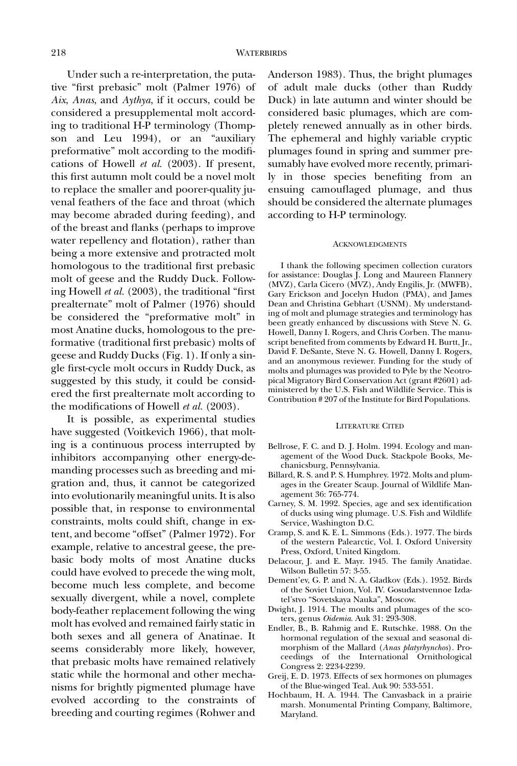Under such a re-interpretation, the putative "first prebasic" molt (Palmer 1976) of *Aix*, *Anas*, and *Aythya*, if it occurs, could be considered a presupplemental molt according to traditional H-P terminology (Thompson and Leu 1994), or an "auxiliary preformative" molt according to the modifications of Howell *et al.* (2003). If present, this first autumn molt could be a novel molt to replace the smaller and poorer-quality juvenal feathers of the face and throat (which may become abraded during feeding), and of the breast and flanks (perhaps to improve water repellency and flotation), rather than being a more extensive and protracted molt homologous to the traditional first prebasic molt of geese and the Ruddy Duck. Following Howell *et al.* (2003), the traditional "first prealternate" molt of Palmer (1976) should be considered the "preformative molt" in most Anatine ducks, homologous to the preformative (traditional first prebasic) molts of geese and Ruddy Ducks (Fig. 1). If only a single first-cycle molt occurs in Ruddy Duck, as suggested by this study, it could be considered the first prealternate molt according to the modifications of Howell *et al.* (2003).

It is possible, as experimental studies have suggested (Voitkevich 1966), that molting is a continuous process interrupted by inhibitors accompanying other energy-demanding processes such as breeding and migration and, thus, it cannot be categorized into evolutionarily meaningful units. It is also possible that, in response to environmental constraints, molts could shift, change in extent, and become "offset" (Palmer 1972). For example, relative to ancestral geese, the prebasic body molts of most Anatine ducks could have evolved to precede the wing molt, become much less complete, and become sexually divergent, while a novel, complete body-feather replacement following the wing molt has evolved and remained fairly static in both sexes and all genera of Anatinae. It seems considerably more likely, however, that prebasic molts have remained relatively static while the hormonal and other mechanisms for brightly pigmented plumage have evolved according to the constraints of breeding and courting regimes (Rohwer and Anderson 1983). Thus, the bright plumages of adult male ducks (other than Ruddy Duck) in late autumn and winter should be considered basic plumages, which are completely renewed annually as in other birds. The ephemeral and highly variable cryptic plumages found in spring and summer presumably have evolved more recently, primarily in those species benefiting from an ensuing camouflaged plumage, and thus should be considered the alternate plumages according to H-P terminology.

#### ACKNOWLEDGMENTS

I thank the following specimen collection curators for assistance: Douglas J. Long and Maureen Flannery (MVZ), Carla Cicero (MVZ), Andy Engilis, Jr. (MWFB), Gary Erickson and Jocelyn Hudon (PMA), and James Dean and Christina Gebhart (USNM). My understanding of molt and plumage strategies and terminology has been greatly enhanced by discussions with Steve N. G. Howell, Danny I. Rogers, and Chris Corben. The manuscript benefited from comments by Edward H. Burtt, Jr., David F. DeSante, Steve N. G. Howell, Danny I. Rogers, and an anonymous reviewer. Funding for the study of molts and plumages was provided to Pyle by the Neotropical Migratory Bird Conservation Act (grant #2601) administered by the U.S. Fish and Wildlife Service. This is Contribution # 207 of the Institute for Bird Populations.

#### LITERATURE CITED

- Bellrose, F. C. and D. J. Holm. 1994. Ecology and management of the Wood Duck. Stackpole Books, Mechanicsburg, Pennsylvania.
- Billard, R. S. and P. S. Humphrey. 1972. Molts and plumages in the Greater Scaup. Journal of Wildlife Management 36: 765-774.
- Carney, S. M. 1992. Species, age and sex identification of ducks using wing plumage. U.S. Fish and Wildlife Service, Washington D.C.
- Cramp, S. and K. E. L. Simmons (Eds.). 1977. The birds of the western Palearctic, Vol. I. Oxford University Press, Oxford, United Kingdom.
- Delacour, J. and E. Mayr. 1945. The family Anatidae. Wilson Bulletin 57: 3-55.
- Dement'ev, G. P. and N. A. Gladkov (Eds.). 1952. Birds of the Soviet Union, Vol. IV. Gosudarstvennoe Izdatel'stvo "Sovetskaya Nauka", Moscow.
- Dwight, J. 1914. The moults and plumages of the scoters, genus *Oidemia*. Auk 31: 293-308.
- Endler, B., B. Rahmig and E. Rutschke. 1988. On the hormonal regulation of the sexual and seasonal dimorphism of the Mallard (*Anas platyrhynchos*). Proceedings of the International Ornithological Congress 2: 2234-2239.
- Greij, E. D. 1973. Effects of sex hormones on plumages of the Blue-winged Teal. Auk 90: 533-551.
- Hochbaum, H. A. 1944. The Canvasback in a prairie marsh. Monumental Printing Company, Baltimore, Maryland.